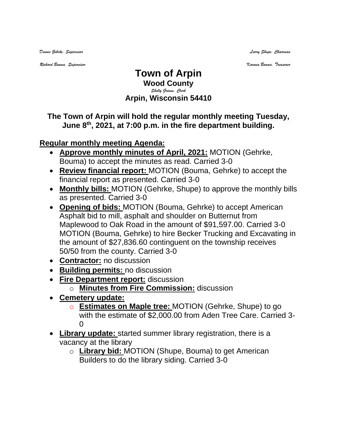*Dennis Gehrke, Supervisor Larry Shupe, Chairman* 

*Richard Bouma, Supervisor Karmen Bouma, Treasurer*

## **Town of Arpin Wood County** *Shelly Grimm, Clerk* **Arpin, Wisconsin 54410**

## **The Town of Arpin will hold the regular monthly meeting Tuesday, June 8 th , 2021, at 7:00 p.m. in the fire department building.**

## **Regular monthly meeting Agenda:**

- **Approve monthly minutes of April, 2021:** MOTION (Gehrke, Bouma) to accept the minutes as read. Carried 3-0
- **Review financial report:** MOTION (Bouma, Gehrke) to accept the financial report as presented. Carried 3-0
- **Monthly bills:** MOTION (Gehrke, Shupe) to approve the monthly bills as presented. Carried 3-0
- **Opening of bids:** MOTION (Bouma, Gehrke) to accept American Asphalt bid to mill, asphalt and shoulder on Butternut from Maplewood to Oak Road in the amount of \$91,597.00. Carried 3-0 MOTION (Bouma, Gehrke) to hire Becker Trucking and Excavating in the amount of \$27,836.60 continguent on the township receives 50/50 from the county. Carried 3-0
- **Contractor:** no discussion
- **Building permits:** no discussion
- **Fire Department report:** discussion
	- o **Minutes from Fire Commission:** discussion
- **Cemetery update:**
	- o **Estimates on Maple tree:** MOTION (Gehrke, Shupe) to go with the estimate of \$2,000.00 from Aden Tree Care. Carried 3- 0
- **Library update:** started summer library registration, there is a vacancy at the library
	- o **Library bid:** MOTION (Shupe, Bouma) to get American Builders to do the library siding. Carried 3-0